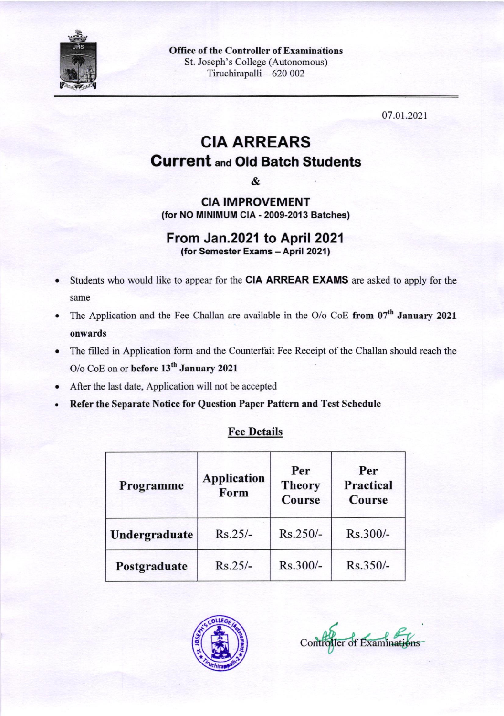

Office of the Controller of Examinations St. Joseph's College (Autonomous) Tiruchirapalli - 620 002

07 .o1.2021

## CIA ARREARS Current ana Old Batch Students

&

CIA !MPROVEMENT (for NO MINIMUM CIA - 2009-2013 Batches)

## From Jan.2021 to April 2021

(for Semester Exams - April 2021)

- Students who would like to appear for the CIA ARREAR EXAMS are asked to apply for the same
- The Application and the Fee Challan are available in the O/o CoE from 07<sup>th</sup> January 2021 onwards
- . The filled in Application form and the Counterfait Fee Receipt of the Challan should reach the O/o CoE on or before 13<sup>th</sup> January 2021
- After the last date, Application will not be accepted
- . Refer the Separate Notice for Question Paper Pattern and Test Schedule

## Fee Details

| Programme     | <b>Application</b><br>Form | Per<br><b>Theory</b><br><b>Course</b> | Per<br><b>Practical</b><br><b>Course</b> |  |
|---------------|----------------------------|---------------------------------------|------------------------------------------|--|
| Undergraduate | $Rs.25/-$                  | $Rs.250/-$                            | Rs.300/-                                 |  |
| Postgraduate  | $Rs.25/-$                  | Rs.300/-                              | Rs.350/-                                 |  |



Controller of Examinations